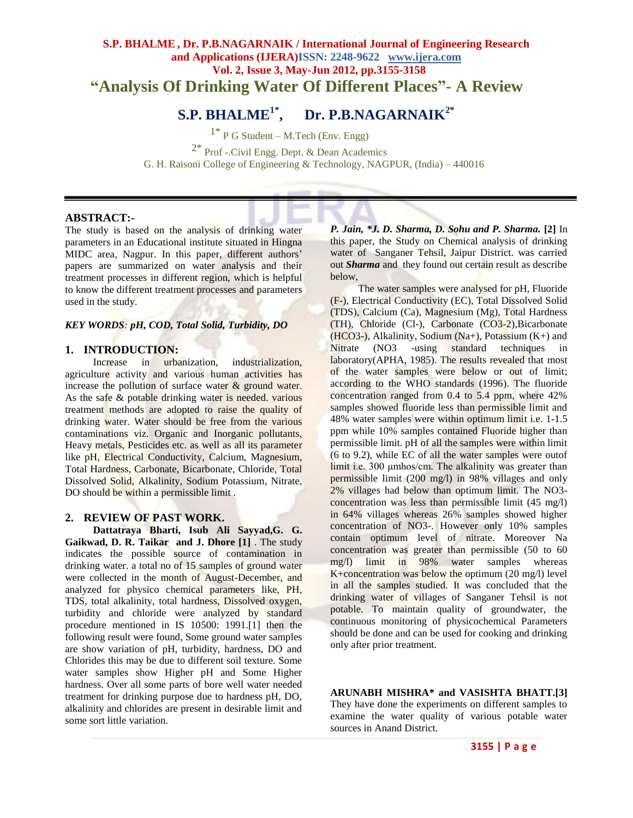## **S.P. BHALME, Dr. P.B.NAGARNAIK / International Journal of Engineering Research and Applications (IJERA)ISSN: 2248-9622 www.ijera.com Vol. 2, Issue 3, May-Jun 2012, pp.3155-3158 "Analysis Of Drinking Water Of Different Places"- A Review**

# **S.P. BHALME1\*, Dr. P.B.NAGARNAIK2\***

 $1^*$  P G Student – M.Tech (Env. Engg) 2\* Prof -.Civil Engg. Dept. & Dean Academics G. H. Raisoni College of Engineering & Technology, NAGPUR, (India) – 440016

#### **ABSTRACT:-**

The study is based on the analysis of drinking water parameters in an Educational institute situated in Hingna MIDC area, Nagpur. In this paper, different authors' papers are summarized on water analysis and their treatment processes in different region, which is helpful to know the different treatment processes and parameters used in the study.

#### *KEY WORDS: pH, COD, Total Solid, Turbidity, DO*

### **1. INTRODUCTION:**

Increase in urbanization, industrialization, agriculture activity and various human activities has increase the pollution of surface water & ground water. As the safe & potable drinking water is needed. various treatment methods are adopted to raise the quality of drinking water. Water should be free from the various contaminations viz. Organic and Inorganic pollutants, Heavy metals, Pesticides etc. as well as all its parameter like pH, Electrical Conductivity, Calcium, Magnesium, Total Hardness, Carbonate, Bicarbonate, Chloride, Total Dissolved Solid, Alkalinity, Sodium Potassium, Nitrate, DO should be within a permissible limit.

#### **2. REVIEW OF PAST WORK.**

**Dattatraya Bharti, Isub Ali Sayyad,G. G. Gaikwad, D. R. Taikar and J. Dhore [1]** . The study indicates the possible source of contamination in drinking water. a total no of 15 samples of ground water were collected in the month of August-December, and analyzed for physico chemical parameters like, PH, TDS, total alkalinity, total hardness, Dissolved oxygen, turbidity and chloride were analyzed by standard procedure mentioned in IS 10500: 1991.[1] then the following result were found, Some ground water samples are show variation of pH, turbidity, hardness, DO and Chlorides this may be due to different soil texture. Some water samples show Higher pH and Some Higher hardness. Over all some parts of bore well water needed treatment for drinking purpose due to hardness pH, DO, alkalinity and chlorides are present in desirable limit and some sort little variation.

*P. Jain, \*J. D. Sharma, D. Sohu and P. Sharma.* **[2]** In this paper, the Study on Chemical analysis of drinking water of Sanganer Tehsil, Jaipur District. was carried out *Sharma* and they found out certain result as describe below,

The water samples were analysed for pH, Fluoride (F-), Electrical Conductivity (EC), Total Dissolved Solid (TDS), Calcium (Ca), Magnesium (Mg), Total Hardness (TH), Chloride (Cl-), Carbonate (CO3-2),Bicarbonate (HCO3-), Alkalinity, Sodium (Na+), Potassium  $(K+)$  and Nitrate (NO3 -using standard techniques in laboratory(APHA, 1985). The results revealed that most of the water samples were below or out of limit; according to the WHO standards (1996). The fluoride concentration ranged from 0.4 to 5.4 ppm, where 42% samples showed fluoride less than permissible limit and 48% water samples were within optimum limit i.e. 1-1.5 ppm while 10% samples contained Fluoride higher than permissible limit. pH of all the samples were within limit (6 to 9.2), while EC of all the water samples were outof limit i.e. 300 μmhos/cm. The alkalinity was greater than permissible limit (200 mg/l) in 98% villages and only 2% villages had below than optimum limit. The NO3 concentration was less than permissible limit (45 mg/l) in 64% villages whereas 26% samples showed higher concentration of NO3-. However only 10% samples contain optimum level of nitrate. Moreover Na concentration was greater than permissible (50 to 60 mg/l) limit in 98% water samples whereas K+concentration was below the optimum (20 mg/l) level in all the samples studied. It was concluded that the drinking water of villages of Sanganer Tehsil is not potable. To maintain quality of groundwater, the continuous monitoring of physicochemical Parameters should be done and can be used for cooking and drinking only after prior treatment.

**ARUNABH MISHRA\* and VASISHTA BHATT.[3]**

They have done the experiments on different samples to examine the water quality of various potable water sources in Anand District.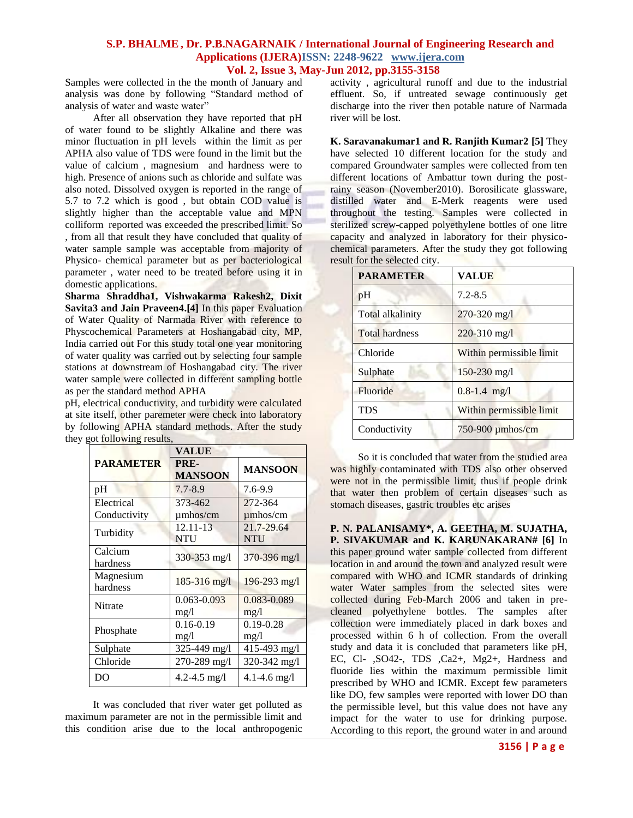#### **S.P. BHALME, Dr. P.B.NAGARNAIK / International Journal of Engineering Research and Applications (IJERA)ISSN: 2248-9622 www.ijera.com Vol. 2, Issue 3, May-Jun 2012, pp.3155-3158**

Samples were collected in the the month of January and analysis was done by following "Standard method of analysis of water and waste water"

After all observation they have reported that pH of water found to be slightly Alkaline and there was minor fluctuation in pH levels within the limit as per APHA also value of TDS were found in the limit but the value of calcium , magnesium and hardness were to high. Presence of anions such as chloride and sulfate was also noted. Dissolved oxygen is reported in the range of 5.7 to 7.2 which is good , but obtain COD value is slightly higher than the acceptable value and MPN colliform reported was exceeded the prescribed limit. So , from all that result they have concluded that quality of water sample sample was acceptable from majority of Physico- chemical parameter but as per bacteriological parameter , water need to be treated before using it in domestic applications.

**Sharma Shraddha1, Vishwakarma Rakesh2, Dixit Savita3 and Jain Praveen4.[4]** In this paper Evaluation of Water Quality of Narmada River with reference to Physcochemical Parameters at Hoshangabad city, MP, India carried out For this study total one year monitoring of water quality was carried out by selecting four sample stations at downstream of Hoshangabad city. The river water sample were collected in different sampling bottle as per the standard method APHA

pH, electrical conductivity, and turbidity were calculated at site itself, other paremeter were check into laboratory by following APHA standard methods. After the study they got following results,

|                  | VALUE                  |                  |
|------------------|------------------------|------------------|
| <b>PARAMETER</b> | PRE-<br><b>MANSOON</b> | <b>MANSOON</b>   |
| pH               | $7.7 - 8.9$            | $7.6 - 9.9$      |
| Electrical       | 373-462                | 272-364          |
| Conductivity     | $\mu$ mhos/cm          | $\mu$ mhos/cm    |
| Turbidity        | 12.11-13               | 21.7-29.64       |
|                  | <b>NTU</b>             | <b>NTU</b>       |
| Calcium          | 330-353 mg/l           | 370-396 mg/l     |
| hardness         |                        |                  |
| Magnesium        | $185 - 316$ mg/l       | $196 - 293$ mg/l |
| hardness         |                        |                  |
| Nitrate          | 0.063-0.093            | 0.083-0.089      |
|                  | mg/l                   | mg/l             |
| Phosphate        | $0.16 - 0.19$          | $0.19 - 0.28$    |
|                  | mg/l                   | mg/l             |
| Sulphate         | 325-449 mg/l           | 415-493 mg/l     |
| Chloride         | 270-289 mg/l           | 320-342 mg/l     |
| DO               | 4.2-4.5 $mg/l$         | $4.1 - 4.6$ mg/l |

It was concluded that river water get polluted as maximum parameter are not in the permissible limit and this condition arise due to the local anthropogenic activity , agricultural runoff and due to the industrial effluent. So, if untreated sewage continuously get discharge into the river then potable nature of Narmada river will be lost.

**K. Saravanakumar1 and R. Ranjith Kumar2 [5]** They have selected 10 different location for the study and compared Groundwater samples were collected from ten different locations of Ambattur town during the postrainy season (November2010). Borosilicate glassware, distilled water and E-Merk reagents were used throughout the testing. Samples were collected in sterilized screw-capped polyethylene bottles of one litre capacity and analyzed in laboratory for their physicochemical parameters. After the study they got following result for the selected city.

| <b>PARAMETER</b>      | <b>VALUE</b>             |
|-----------------------|--------------------------|
| pH                    | $7.2 - 8.5$              |
| Total alkalinity      | $270 - 320$ mg/l         |
| <b>Total hardness</b> | $220 - 310$ mg/l         |
| Chloride              | Within permissible limit |
| Sulphate              | $150 - 230$ mg/l         |
| Fluoride              | $0.8 - 1.4$ mg/l         |
| <b>TDS</b>            | Within permissible limit |
| Conductivity          | 750-900 umhos/cm         |

So it is concluded that water from the studied area was highly contaminated with TDS also other observed were not in the permissible limit, thus if people drink that water then problem of certain diseases such as stomach diseases, gastric troubles etc arises

**P. N. PALANISAMY\*, A. GEETHA, M. SUJATHA, P. SIVAKUMAR and K. KARUNAKARAN# [6]** In this paper ground water sample collected from different location in and around the town and analyzed result were compared with WHO and ICMR standards of drinking water Water samples from the selected sites were collected during Feb-March 2006 and taken in precleaned polyethylene bottles. The samples after collection were immediately placed in dark boxes and processed within 6 h of collection. From the overall study and data it is concluded that parameters like pH, EC, Cl- ,SO42-, TDS ,Ca2+, Mg2+, Hardness and fluoride lies within the maximum permissible limit prescribed by WHO and ICMR. Except few parameters like DO, few samples were reported with lower DO than the permissible level, but this value does not have any impact for the water to use for drinking purpose. According to this report, the ground water in and around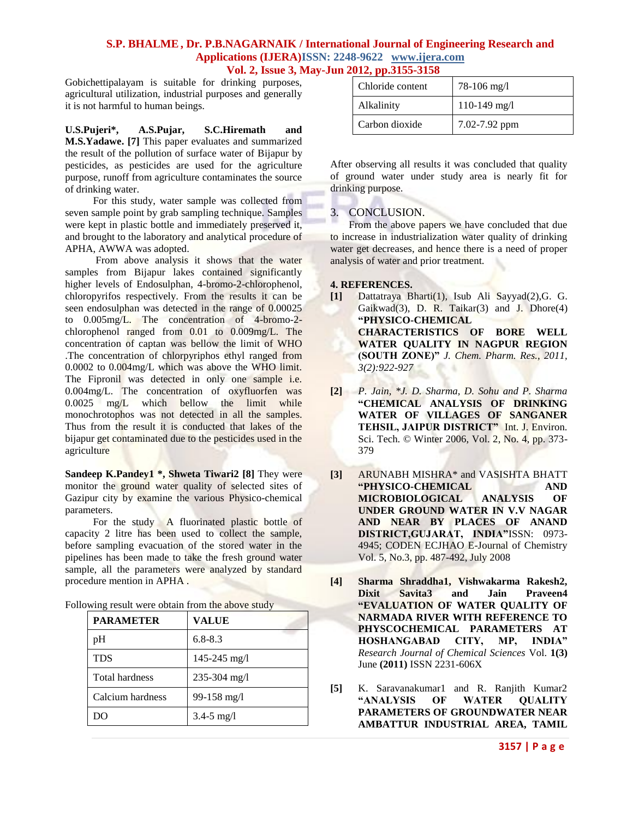#### **S.P. BHALME, Dr. P.B.NAGARNAIK / International Journal of Engineering Research and Applications (IJERA)ISSN: 2248-9622 www.ijera.com Vol. 2, Issue 3, May-Jun 2012, pp.3155-3158**

Gobichettipalayam is suitable for drinking purposes, agricultural utilization, industrial purposes and generally it is not harmful to human beings.

**U.S.Pujeri\*, A.S.Pujar, S.C.Hiremath and M.S.Yadawe. [7]** This paper evaluates and summarized the result of the pollution of surface water of Bijapur by pesticides, as pesticides are used for the agriculture purpose, runoff from agriculture contaminates the source of drinking water.

For this study, water sample was collected from seven sample point by grab sampling technique. Samples were kept in plastic bottle and immediately preserved it, and brought to the laboratory and analytical procedure of APHA, AWWA was adopted.

From above analysis it shows that the water samples from Bijapur lakes contained significantly higher levels of Endosulphan, 4-bromo-2-chlorophenol, chloropyrifos respectively. From the results it can be seen endosulphan was detected in the range of 0.00025 to 0.005mg/L. The concentration of 4-bromo-2 chlorophenol ranged from 0.01 to 0.009mg/L. The concentration of captan was bellow the limit of WHO .The concentration of chlorpyriphos ethyl ranged from 0.0002 to 0.004mg/L which was above the WHO limit. The Fipronil was detected in only one sample i.e. 0.004mg/L. The concentration of oxyfluorfen was 0.0025 mg/L which bellow the limit while monochrotophos was not detected in all the samples. Thus from the result it is conducted that lakes of the bijapur get contaminated due to the pesticides used in the agriculture

**Sandeep K.Pandey1 \*, Shweta Tiwari2 [8]** They were monitor the ground water quality of selected sites of Gazipur city by examine the various Physico-chemical parameters.

For the study A fluorinated plastic bottle of capacity 2 litre has been used to collect the sample, before sampling evacuation of the stored water in the pipelines has been made to take the fresh ground water sample, all the parameters were analyzed by standard procedure mention in APHA .

Following result were obtain from the above study

| <b>PARAMETER</b>      | <b>VALUE</b>     |
|-----------------------|------------------|
| pH                    | $6.8 - 8.3$      |
| <b>TDS</b>            | $145 - 245$ mg/l |
| <b>Total hardness</b> | $235 - 304$ mg/l |
| Calcium hardness      | $99-158$ mg/l    |
| )( )                  | $3.4 - 5$ mg/l   |

| Chloride content | $78-106$ mg/l  |
|------------------|----------------|
| Alkalinity       | $110-149$ mg/l |
| Carbon dioxide   | 7.02-7.92 ppm  |

After observing all results it was concluded that quality of ground water under study area is nearly fit for drinking purpose.

#### 3. CONCLUSION.

From the above papers we have concluded that due to increase in industrialization water quality of drinking water get decreases, and hence there is a need of proper analysis of water and prior treatment.

#### **4. REFERENCES.**

- **[1]** Dattatraya Bharti(1), Isub Ali Sayyad(2),G. G. Gaikwad(3), D. R. Taikar(3) and J. Dhore $(4)$ **"PHYSICO-CHEMICAL CHARACTERISTICS OF BORE WELL WATER QUALITY IN NAGPUR REGION (SOUTH ZONE)"** *J. Chem. Pharm. Res., 2011, 3(2):922-927*
- **[2]** *P. Jain, \*J. D. Sharma, D. Sohu and P. Sharma* **"CHEMICAL ANALYSIS OF DRINKING WATER OF VILLAGES OF SANGANER TEHSIL, JAIPUR DISTRICT"** Int. J. Environ. Sci. Tech. © Winter 2006, Vol. 2, No. 4, pp. 373- 379
- **[3]** ARUNABH MISHRA\* and VASISHTA BHATT **"PHYSICO-CHEMICAL AND MICROBIOLOGICAL ANALYSIS OF UNDER GROUND WATER IN V.V NAGAR AND NEAR BY PLACES OF ANAND DISTRICT,GUJARAT, INDIA"**ISSN: 0973- 4945; CODEN ECJHAO E-Journal of Chemistry Vol. 5, No.3, pp. 487-492, July 2008
- **[4] Sharma Shraddha1, Vishwakarma Rakesh2, Dixit Savita3 and Jain Praveen4 "EVALUATION OF WATER QUALITY OF NARMADA RIVER WITH REFERENCE TO PHYSCOCHEMICAL PARAMETERS AT HOSHANGABAD CITY, MP, INDIA"** *Research Journal of Chemical Sciences* Vol. **1(3)**  June **(2011)** ISSN 2231-606X
- **[5]** K. Saravanakumar1 and R. Ranjith Kumar2 **"ANALYSIS OF WATER QUALITY PARAMETERS OF GROUNDWATER NEAR AMBATTUR INDUSTRIAL AREA, TAMIL**